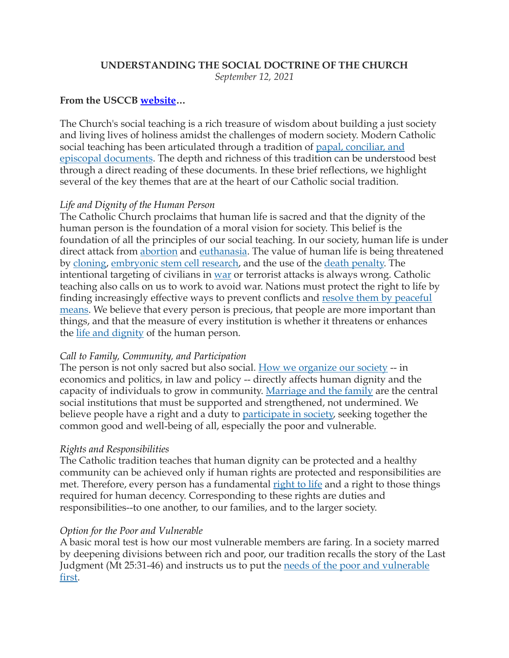#### **UNDERSTANDING THE SOCIAL DOCTRINE OF THE CHURCH**

*September 12, 2021*

#### **From the USCCB [website…](https://www.usccb.org/beliefs-and-teachings/what-we-believe/catholic-social-teaching/seven-themes-of-catholic-social-teaching)**

The Church's social teaching is a rich treasure of wisdom about building a just society and living lives of holiness amidst the challenges of modern society. Modern Catholic social teaching has been articulated through a tradition of [papal, conciliar, and](https://www.usccb.org/beliefs-and-teachings/what-we-believe/catholic-social-teaching/foundational-documents.cfm)  [episcopal documents.](https://www.usccb.org/beliefs-and-teachings/what-we-believe/catholic-social-teaching/foundational-documents.cfm) The depth and richness of this tradition can be understood best through a direct reading of these documents. In these brief reflections, we highlight several of the key themes that are at the heart of our Catholic social tradition.

#### *Life and Dignity of the Human Person*

The Catholic Church proclaims that human life is sacred and that the dignity of the human person is the foundation of a moral vision for society. This belief is the foundation of all the principles of our social teaching. In our society, human life is under direct attack from [abortion](https://www.usccb.org/issues-and-action/human-life-and-dignity/abortion/index.cfm) and [euthanasia](https://www.usccb.org/issues-and-action/human-life-and-dignity/end-of-life/euthanasia/index.cfm). The value of human life is being threatened by [cloning,](https://www.usccb.org/issues-and-action/human-life-and-dignity/cloning/index.cfm) [embryonic stem cell research,](https://www.usccb.org/issues-and-action/human-life-and-dignity/war-and-peace/index.cfm) and the use of the [death penalty.](https://www.usccb.org/issues-and-action/human-life-and-dignity/death-penalty-capital-punishment/index.cfm) The intentional targeting of civilians in [war](https://www.usccb.org/issues-and-action/human-life-and-dignity/war-and-peace/index.cfm) or terrorist attacks is always wrong. Catholic teaching also calls on us to work to avoid war. Nations must protect the right to life by finding increasingly effective ways to prevent conflicts and [resolve them by peaceful](https://www.usccb.org/issues-and-action/human-life-and-dignity/war-and-peace/world-day-of-peace.cfm)  [means](https://www.usccb.org/issues-and-action/human-life-and-dignity/war-and-peace/world-day-of-peace.cfm). We believe that every person is precious, that people are more important than things, and that the measure of every institution is whether it threatens or enhances the <u>[life and dignity](https://www.usccb.org/issues-and-action/human-life-and-dignity/index.cfm)</u> of the human person.

### *Call to Family, Community, and Participation*

The person is not only sacred but also social. [How we organize our society](https://www.usccb.org/issues-and-action/faithful-citizenship/index.cfm) -- in economics and politics, in law and policy -- directly affects human dignity and the capacity of individuals to grow in community. [Marriage and the family](https://www.usccb.org/issues-and-action/marriage-and-family/index.cfm) are the central social institutions that must be supported and strengthened, not undermined. We believe people have a right and a duty to [participate in society,](https://www.usccb.org/about/catholic-campaign-for-human-development/index.cfm) seeking together the common good and well-being of all, especially the poor and vulnerable.

### *Rights and Responsibilities*

The Catholic tradition teaches that human dignity can be protected and a healthy community can be achieved only if human rights are protected and responsibilities are met. Therefore, every person has a fundamental [right to life](https://www.usccb.org/about/pro-life-activities/respect-life-program/index.cfm) and a right to those things required for human decency. Corresponding to these rights are duties and responsibilities--to one another, to our families, and to the larger society.

#### *Option for the Poor and Vulnerable*

A basic moral test is how our most vulnerable members are faring. In a society marred by deepening divisions between rich and poor, our tradition recalls the story of the Last Judgment (Mt 25:31-46) and instructs us to put the <u>needs of the poor and vulnerable</u> [first](https://www.usccb.org/issues-and-action/human-life-and-dignity/economic-justice-economy/index.cfm).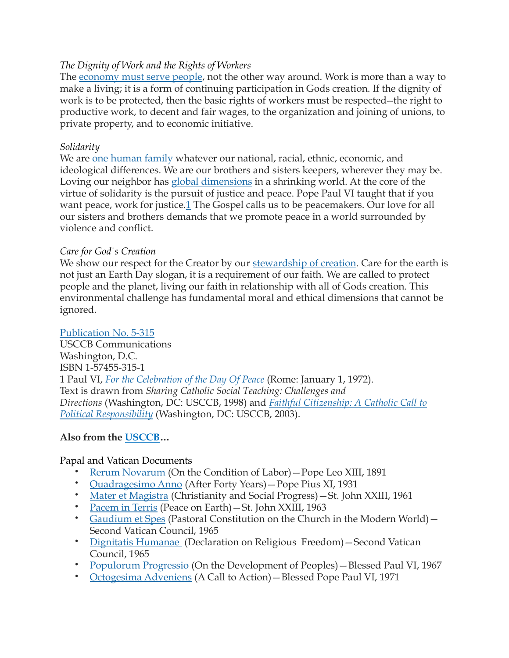# *The Dignity of Work and the Rights of Workers*

The [economy must serve people](https://www.usccb.org/issues-and-action/human-life-and-dignity/labor-employment/index.cfm), not the other way around. Work is more than a way to make a living; it is a form of continuing participation in Gods creation. If the dignity of work is to be protected, then the basic rights of workers must be respected--the right to productive work, to decent and fair wages, to the organization and joining of unions, to private property, and to economic initiative.

### *Solidarity*

We are [one human family](http://www.crs.org/globalpoverty/about/index.cfm) whatever our national, racial, ethnic, economic, and ideological differences. We are our brothers and sisters keepers, wherever they may be. Loving our neighbor has [global dimensions](https://www.usccb.org/issues-and-action/human-life-and-dignity/global-issues/index.cfm) in a shrinking world. At the core of the virtue of solidarity is the pursuit of justice and peace. Pope Paul VI taught that if you want peace, work for justice.[1](https://www.vatican.va/holy_father/paul_vi/messages/peace/documents/hf_p-vi_mes_19711208_v-world-day-for-peace_en.html) The Gospel calls us to be peacemakers. Our love for all our sisters and brothers demands that we promote peace in a world surrounded by violence and conflict.

### *Care for God's Creation*

We show our respect for the Creator by our [stewardship of creation.](https://www.usccb.org/issues-and-action/human-life-and-dignity/environment/index.cfm) Care for the earth is not just an Earth Day slogan, it is a requirement of our faith. We are called to protect people and the planet, living our faith in relationship with all of Gods creation. This environmental challenge has fundamental moral and ethical dimensions that cannot be ignored.

## [Publication No. 5-315](http://www.usccbpublishing.org/productdetails.cfm?PC=1235)

USCCB Communications Washington, D.C. ISBN 1-57455-315-1 1 Paul VI, *[For the Celebration of the Day Of Peace](http://www.vatican.va/holy_father/paul_vi/messages/peace/documents/hf_p-vi_mes_19711208_v-world-day-for-peace_en.html)* (Rome: January 1, 1972). Text is drawn from *Sharing Catholic Social Teaching: Challenges and Directions* (Washington, DC: USCCB, 1998) and *[Faithful Citizenship: A Catholic Call to](https://www.usccb.org/issues-and-action/faithful-citizenship/index.cfm)  [Political Responsibility](https://www.usccb.org/issues-and-action/faithful-citizenship/index.cfm)* (Washington, DC: USCCB, 2003).

# **Also from the [USCCB](https://www.usccb.org/beliefs-and-teachings/what-we-believe/catholic-social-teaching/foundational-documents)…**

### Papal and Vatican Documents

- [Rerum Novarum](http://www.vatican.va/holy_father/leo_xiii/encyclicals/documents/hf_l-xiii_enc_15051891_rerum-novarum_en.html) (On the Condition of Labor)—Pope Leo XIII, 1891
- [Quadragesimo Anno](http://www.vatican.va/holy_father/pius_xi/encyclicals/documents/hf_p-xi_enc_19310515_quadragesimo-anno_en.html) (After Forty Years)—Pope Pius XI, 1931
- [Mater et Magistra](http://www.vatican.va/holy_father/john_xxiii/encyclicals/documents/hf_j-xxiii_enc_15051961_mater_en.html) (Christianity and Social Progress) St. John XXIII, 1961
- [Pacem in Terris](http://www.vatican.va/holy_father/john_xxiii/encyclicals/documents/hf_j-xxiii_enc_11041963_pacem_en.html) (Peace on Earth) St. John XXIII, 1963
- [Gaudium et Spes](http://www.vatican.va/archive/hist_councils/ii_vatican_council/documents/vat-ii_cons_19651207_gaudium-et-spes_en.html) (Pastoral Constitution on the Church in the Modern World) Second Vatican Council, 1965
- [Dignitatis Humanae](http://www.vatican.va/archive/hist_councils/ii_vatican_council/documents/vat-ii_decl_19651207_dignitatis-humanae_en.html) (Declaration on Religious Freedom)—Second Vatican Council, 1965
- [Populorum Progressio](http://www.vatican.va/holy_father/paul_vi/encyclicals/documents/hf_p-vi_enc_26031967_populorum_en.html) (On the Development of Peoples) Blessed Paul VI, 1967
- [Octogesima Adveniens](http://www.vatican.va/holy_father/paul_vi/apost_letters/documents/hf_p-vi_apl_19710514_octogesima-adveniens_en.html) (A Call to Action)—Blessed Pope Paul VI, 1971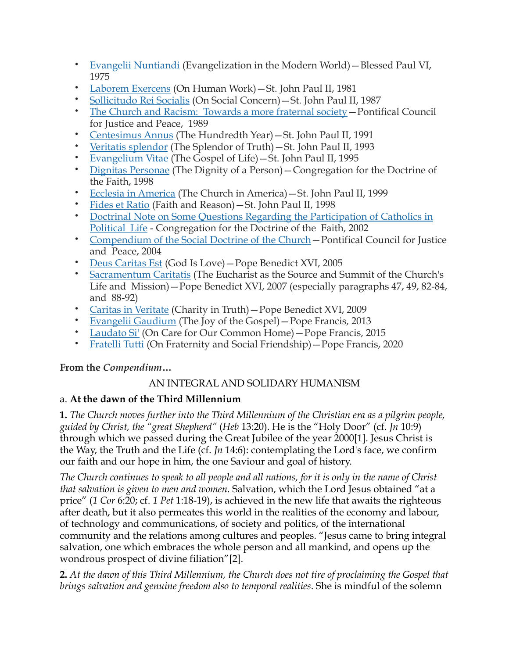- [Evangelii Nuntiandi](http://www.vatican.va/holy_father/paul_vi/apost_exhortations/documents/hf_p-vi_exh_19751208_evangelii-nuntiandi_en.html) (Evangelization in the Modern World)—Blessed Paul VI, 1975
- [Laborem Exercens](http://www.vatican.va/holy_father/john_paul_ii/encyclicals/documents/hf_jp-ii_enc_14091981_laborem-exercens_en.html) (On Human Work)—St. John Paul II, 1981
- [Sollicitudo Rei Socialis](http://www.vatican.va/holy_father/john_paul_ii/encyclicals/documents/hf_jp-ii_enc_30121987_sollicitudo-rei-socialis_en.html) (On Social Concern)—St. John Paul II, 1987
- [The Church and Racism: Towards a more fraternal society](http://www.ewtn.com/library/CURIA/PCJPRACI.HTM)—Pontifical Council for Justice and Peace, 1989
- [Centesimus Annus](http://www.vatican.va/holy_father/john_paul_ii/encyclicals/documents/hf_jp-ii_enc_01051991_centesimus-annus_en.html) (The Hundredth Year)—St. John Paul II, 1991
- [Veritatis splendor](http://www.vatican.va/holy_father/john_paul_ii/encyclicals/documents/hf_jp-ii_enc_06081993_veritatis-splendor_en.html) (The Splendor of Truth)—St. John Paul II, 1993
- [Evangelium Vitae](http://www.vatican.va/holy_father/john_paul_ii/encyclicals/documents/hf_jp-ii_enc_25031995_evangelium-vitae_en.html) (The Gospel of Life)—St. John Paul II, 1995
- [Dignitas Personae](http://www.vatican.va/roman_curia/congregations/cfaith/documents/rc_con_cfaith_doc_20081208_dignitas-personae_en.html) (The Dignity of a Person)—Congregation for the Doctrine of the Faith, 1998
- [Ecclesia in America](http://www.vatican.va/holy_father/john_paul_ii/apost_exhortations/documents/hf_jp-ii_exh_22011999_ecclesia-in-america_en.html) (The Church in America)—St. John Paul II, 1999
- [Fides et Ratio](http://www.vatican.va/holy_father/john_paul_ii/encyclicals/documents/hf_jp-ii_enc_15101998_fides-et-ratio_en.html) (Faith and Reason)—St. John Paul II, 1998
- [Doctrinal Note on Some Questions Regarding the Participation of Catholics in](http://www.vatican.va/roman_curia/congregations/cfaith/documents/rc_con_cfaith_doc_20021124_politica_en.html)  [Political Life](http://www.vatican.va/roman_curia/congregations/cfaith/documents/rc_con_cfaith_doc_20021124_politica_en.html) - Congregation for the Doctrine of the Faith, 2002
- [Compendium of the Social Doctrine of the Church](http://www.vatican.va/roman_curia/pontifical_councils/justpeace/documents/rc_pc_justpeace_doc_20060526_compendio-dott-soc_en.html)—Pontifical Council for Justice and Peace, 2004
- [Deus Caritas Est](http://www.vatican.va/holy_father/benedict_xvi/encyclicals/documents/hf_ben-xvi_enc_20051225_deus-caritas-est_en.html) (God Is Love)—Pope Benedict XVI, 2005
- [Sacramentum Caritatis](http://www.vatican.va/holy_father/benedict_xvi/apost_exhortations/documents/hf_ben-xvi_exh_20070222_sacramentum-caritatis_en.html#The_Eucharist,_a_mystery_to_be_offered_to_the_world) (The Eucharist as the Source and Summit of the Church's Life and Mission)—Pope Benedict XVI, 2007 (especially paragraphs 47, 49, 82-84, and 88-92)
- [Caritas in Veritate](http://www.vatican.va/holy_father/benedict_xvi/encyclicals/documents/hf_ben-xvi_enc_20090629_caritas-in-veritate_en.html) (Charity in Truth)—Pope Benedict XVI, 2009
- [Evangelii Gaudium](http://w2.vatican.va/content/francesco/en/apost_exhortations/documents/papa-francesco_esortazione-ap_20131124_evangelii-gaudium.html) (The Joy of the Gospel)—Pope Francis, 2013
- [Laudato Si'](http://w2.vatican.va/content/francesco/en/encyclicals/documents/papa-francesco_20150524_enciclica-laudato-si.html) (On Care for Our Common Home)—Pope Francis, 2015
- [Fratelli Tutti](https://www.vatican.va/content/francesco/en/encyclicals/documents/papa-francesco_20201003_enciclica-fratelli-tutti.html) (On Fraternity and Social Friendship)—Pope Francis, 2020

# **From the** *Compendium***…**

# AN INTEGRAL AND SOLIDARY HUMANISM

# a. **At the dawn of the Third Millennium**

**1.** *The Church moves further into the Third Millennium of the Christian era as a pilgrim people, guided by Christ, the "great Shepherd"* (*Heb* 13:20). He is the "Holy Door" (cf. *Jn* 10:9) through which we passed during the Great Jubilee of the year 2000[1]. Jesus Christ is the Way, the Truth and the Life (cf. *Jn* 14:6): contemplating the Lord's face, we confirm our faith and our hope in him, the one Saviour and goal of history.

*The Church continues to speak to all people and all nations, for it is only in the name of Christ that salvation is given to men and women.* Salvation, which the Lord Jesus obtained "at a price" (*1 Cor* 6:20; cf. *1 Pet* 1:18-19), is achieved in the new life that awaits the righteous after death, but it also permeates this world in the realities of the economy and labour, of technology and communications, of society and politics, of the international community and the relations among cultures and peoples. "Jesus came to bring integral salvation, one which embraces the whole person and all mankind, and opens up the wondrous prospect of divine filiation"[2].

**2.** *At the dawn of this Third Millennium, the Church does not tire of proclaiming the Gospel that brings salvation and genuine freedom also to temporal realities*. She is mindful of the solemn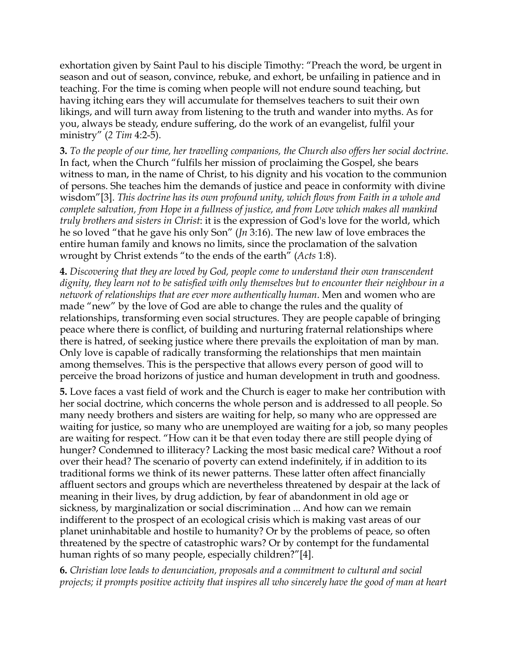exhortation given by Saint Paul to his disciple Timothy: "Preach the word, be urgent in season and out of season, convince, rebuke, and exhort, be unfailing in patience and in teaching. For the time is coming when people will not endure sound teaching, but having itching ears they will accumulate for themselves teachers to suit their own likings, and will turn away from listening to the truth and wander into myths. As for you, always be steady, endure suffering, do the work of an evangelist, fulfil your ministry" (*2 Tim* 4:2-5).

**3.** *To the people of our time, her travelling companions, the Church also offers her social doctrine*. In fact, when the Church "fulfils her mission of proclaiming the Gospel, she bears witness to man, in the name of Christ, to his dignity and his vocation to the communion of persons. She teaches him the demands of justice and peace in conformity with divine wisdom"[3]. *This doctrine has its own profound unity, which flows from Faith in a whole and complete salvation, from Hope in a fullness of justice, and from Love which makes all mankind truly brothers and sisters in Christ*: it is the expression of God's love for the world, which he so loved "that he gave his only Son" (*Jn* 3:16). The new law of love embraces the entire human family and knows no limits, since the proclamation of the salvation wrought by Christ extends "to the ends of the earth" (*Acts* 1:8).

**4.** *Discovering that they are loved by God, people come to understand their own transcendent dignity, they learn not to be satisfied with only themselves but to encounter their neighbour in a network of relationships that are ever more authentically human*. Men and women who are made "new" by the love of God are able to change the rules and the quality of relationships, transforming even social structures. They are people capable of bringing peace where there is conflict, of building and nurturing fraternal relationships where there is hatred, of seeking justice where there prevails the exploitation of man by man. Only love is capable of radically transforming the relationships that men maintain among themselves. This is the perspective that allows every person of good will to perceive the broad horizons of justice and human development in truth and goodness.

**5.** Love faces a vast field of work and the Church is eager to make her contribution with her social doctrine, which concerns the whole person and is addressed to all people. So many needy brothers and sisters are waiting for help, so many who are oppressed are waiting for justice, so many who are unemployed are waiting for a job, so many peoples are waiting for respect. "How can it be that even today there are still people dying of hunger? Condemned to illiteracy? Lacking the most basic medical care? Without a roof over their head? The scenario of poverty can extend indefinitely, if in addition to its traditional forms we think of its newer patterns. These latter often affect financially affluent sectors and groups which are nevertheless threatened by despair at the lack of meaning in their lives, by drug addiction, by fear of abandonment in old age or sickness, by marginalization or social discrimination ... And how can we remain indifferent to the prospect of an ecological crisis which is making vast areas of our planet uninhabitable and hostile to humanity? Or by the problems of peace, so often threatened by the spectre of catastrophic wars? Or by contempt for the fundamental human rights of so many people, especially children?"[4].

**6.** *Christian love leads to denunciation, proposals and a commitment to cultural and social projects; it prompts positive activity that inspires all who sincerely have the good of man at heart*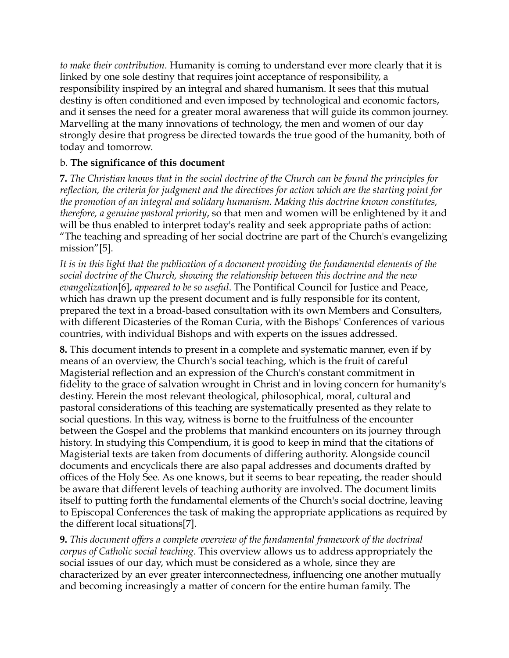*to make their contribution*. Humanity is coming to understand ever more clearly that it is linked by one sole destiny that requires joint acceptance of responsibility, a responsibility inspired by an integral and shared humanism. It sees that this mutual destiny is often conditioned and even imposed by technological and economic factors, and it senses the need for a greater moral awareness that will guide its common journey. Marvelling at the many innovations of technology, the men and women of our day strongly desire that progress be directed towards the true good of the humanity, both of today and tomorrow.

# b. **The significance of this document**

**7.** *The Christian knows that in the social doctrine of the Church can be found the principles for reflection, the criteria for judgment and the directives for action which are the starting point for the promotion of an integral and solidary humanism. Making this doctrine known constitutes, therefore, a genuine pastoral priority*, so that men and women will be enlightened by it and will be thus enabled to interpret today's reality and seek appropriate paths of action: "The teaching and spreading of her social doctrine are part of the Church's evangelizing mission"[5].

*It is in this light that the publication of a document providing the fundamental elements of the social doctrine of the Church, showing the relationship between this doctrine and the new evangelization*[6], *appeared to be so useful*. The Pontifical Council for Justice and Peace, which has drawn up the present document and is fully responsible for its content, prepared the text in a broad-based consultation with its own Members and Consulters, with different Dicasteries of the Roman Curia, with the Bishops' Conferences of various countries, with individual Bishops and with experts on the issues addressed.

**8.** This document intends to present in a complete and systematic manner, even if by means of an overview, the Church's social teaching, which is the fruit of careful Magisterial reflection and an expression of the Church's constant commitment in fidelity to the grace of salvation wrought in Christ and in loving concern for humanity's destiny. Herein the most relevant theological, philosophical, moral, cultural and pastoral considerations of this teaching are systematically presented as they relate to social questions. In this way, witness is borne to the fruitfulness of the encounter between the Gospel and the problems that mankind encounters on its journey through history. In studying this Compendium, it is good to keep in mind that the citations of Magisterial texts are taken from documents of differing authority. Alongside council documents and encyclicals there are also papal addresses and documents drafted by offices of the Holy See. As one knows, but it seems to bear repeating, the reader should be aware that different levels of teaching authority are involved. The document limits itself to putting forth the fundamental elements of the Church's social doctrine, leaving to Episcopal Conferences the task of making the appropriate applications as required by the different local situations[7].

**9.** *This document offers a complete overview of the fundamental framework of the doctrinal corpus of Catholic social teaching*. This overview allows us to address appropriately the social issues of our day, which must be considered as a whole, since they are characterized by an ever greater interconnectedness, influencing one another mutually and becoming increasingly a matter of concern for the entire human family. The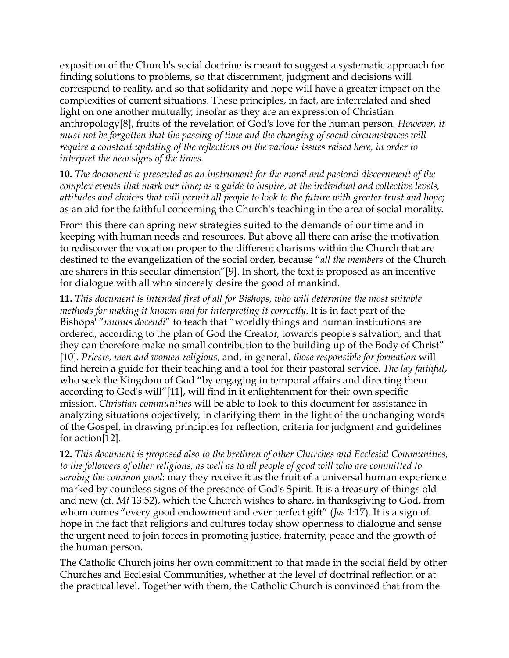exposition of the Church's social doctrine is meant to suggest a systematic approach for finding solutions to problems, so that discernment, judgment and decisions will correspond to reality, and so that solidarity and hope will have a greater impact on the complexities of current situations. These principles, in fact, are interrelated and shed light on one another mutually, insofar as they are an expression of Christian anthropology[8], fruits of the revelation of God's love for the human person. *However, it must not be forgotten that the passing of time and the changing of social circumstances will require a constant updating of the reflections on the various issues raised here, in order to interpret the new signs of the times.*

**10.** *The document is presented as an instrument for the moral and pastoral discernment of the complex events that mark our time; as a guide to inspire, at the individual and collective levels, attitudes and choices that will permit all people to look to the future with greater trust and hope*; as an aid for the faithful concerning the Church's teaching in the area of social morality.

From this there can spring new strategies suited to the demands of our time and in keeping with human needs and resources. But above all there can arise the motivation to rediscover the vocation proper to the different charisms within the Church that are destined to the evangelization of the social order, because "*all the members* of the Church are sharers in this secular dimension"[9]. In short, the text is proposed as an incentive for dialogue with all who sincerely desire the good of mankind.

**11.** *This document is intended first of all for Bishops, who will determine the most suitable methods for making it known and for interpreting it correctly*. It is in fact part of the Bishops' "*munus docendi*" to teach that "worldly things and human institutions are ordered, according to the plan of God the Creator, towards people's salvation, and that they can therefore make no small contribution to the building up of the Body of Christ" [10]. *Priests, men and women religious*, and, in general, *those responsible for formation* will find herein a guide for their teaching and a tool for their pastoral service. *The lay faithful*, who seek the Kingdom of God "by engaging in temporal affairs and directing them according to God's will"[11], will find in it enlightenment for their own specific mission. *Christian communities* will be able to look to this document for assistance in analyzing situations objectively, in clarifying them in the light of the unchanging words of the Gospel, in drawing principles for reflection, criteria for judgment and guidelines for action[12].

**12.** *This document is proposed also to the brethren of other Churches and Ecclesial Communities, to the followers of other religions, as well as to all people of good will who are committed to serving the common good*: may they receive it as the fruit of a universal human experience marked by countless signs of the presence of God's Spirit. It is a treasury of things old and new (cf. *Mt* 13:52), which the Church wishes to share, in thanksgiving to God, from whom comes "every good endowment and ever perfect gift" (*Jas* 1:17). It is a sign of hope in the fact that religions and cultures today show openness to dialogue and sense the urgent need to join forces in promoting justice, fraternity, peace and the growth of the human person.

The Catholic Church joins her own commitment to that made in the social field by other Churches and Ecclesial Communities, whether at the level of doctrinal reflection or at the practical level. Together with them, the Catholic Church is convinced that from the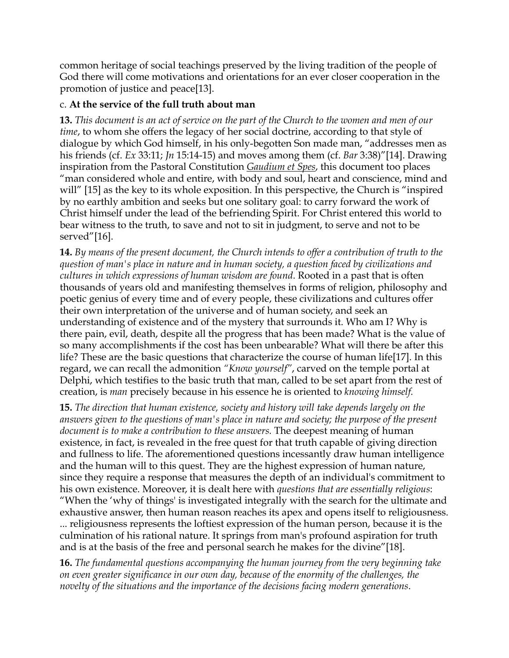common heritage of social teachings preserved by the living tradition of the people of God there will come motivations and orientations for an ever closer cooperation in the promotion of justice and peace[13].

# c. **At the service of the full truth about man**

**13.** *This document is an act of service on the part of the Church to the women and men of our time*, to whom she offers the legacy of her social doctrine, according to that style of dialogue by which God himself, in his only-begotten Son made man, "addresses men as his friends (cf. *Ex* 33:11; *Jn* 15:14-15) and moves among them (cf. *Bar* 3:38)"[14]. Drawing inspiration from the Pastoral Constitution *[Gaudium et Spes](https://www.vatican.va/archive/hist_councils/ii_vatican_council/documents/vat-ii_cons_19651207_gaudium-et-spes_en.html)*, this document too places "man considered whole and entire, with body and soul, heart and conscience, mind and will" [15] as the key to its whole exposition. In this perspective, the Church is "inspired by no earthly ambition and seeks but one solitary goal: to carry forward the work of Christ himself under the lead of the befriending Spirit. For Christ entered this world to bear witness to the truth, to save and not to sit in judgment, to serve and not to be served"[16].

**14.** *By means of the present document, the Church intends to offer a contribution of truth to the question of man's place in nature and in human society, a question faced by civilizations and cultures in which expressions of human wisdom are found*. Rooted in a past that is often thousands of years old and manifesting themselves in forms of religion, philosophy and poetic genius of every time and of every people, these civilizations and cultures offer their own interpretation of the universe and of human society, and seek an understanding of existence and of the mystery that surrounds it. Who am I? Why is there pain, evil, death, despite all the progress that has been made? What is the value of so many accomplishments if the cost has been unbearable? What will there be after this life? These are the basic questions that characterize the course of human life[17]. In this regard, we can recall the admonition *"Know yourself"*, carved on the temple portal at Delphi, which testifies to the basic truth that man, called to be set apart from the rest of creation, is *man* precisely because in his essence he is oriented to *knowing himself.*

**15.** *The direction that human existence, society and history will take depends largely on the answers given to the questions of man's place in nature and society; the purpose of the present document is to make a contribution to these answers.* The deepest meaning of human existence, in fact, is revealed in the free quest for that truth capable of giving direction and fullness to life. The aforementioned questions incessantly draw human intelligence and the human will to this quest. They are the highest expression of human nature, since they require a response that measures the depth of an individual's commitment to his own existence. Moreover, it is dealt here with *questions that are essentially religious*: "When the 'why of things' is investigated integrally with the search for the ultimate and exhaustive answer, then human reason reaches its apex and opens itself to religiousness. ... religiousness represents the loftiest expression of the human person, because it is the culmination of his rational nature. It springs from man's profound aspiration for truth and is at the basis of the free and personal search he makes for the divine"[18].

**16.** *The fundamental questions accompanying the human journey from the very beginning take on even greater significance in our own day, because of the enormity of the challenges, the novelty of the situations and the importance of the decisions facing modern generations*.